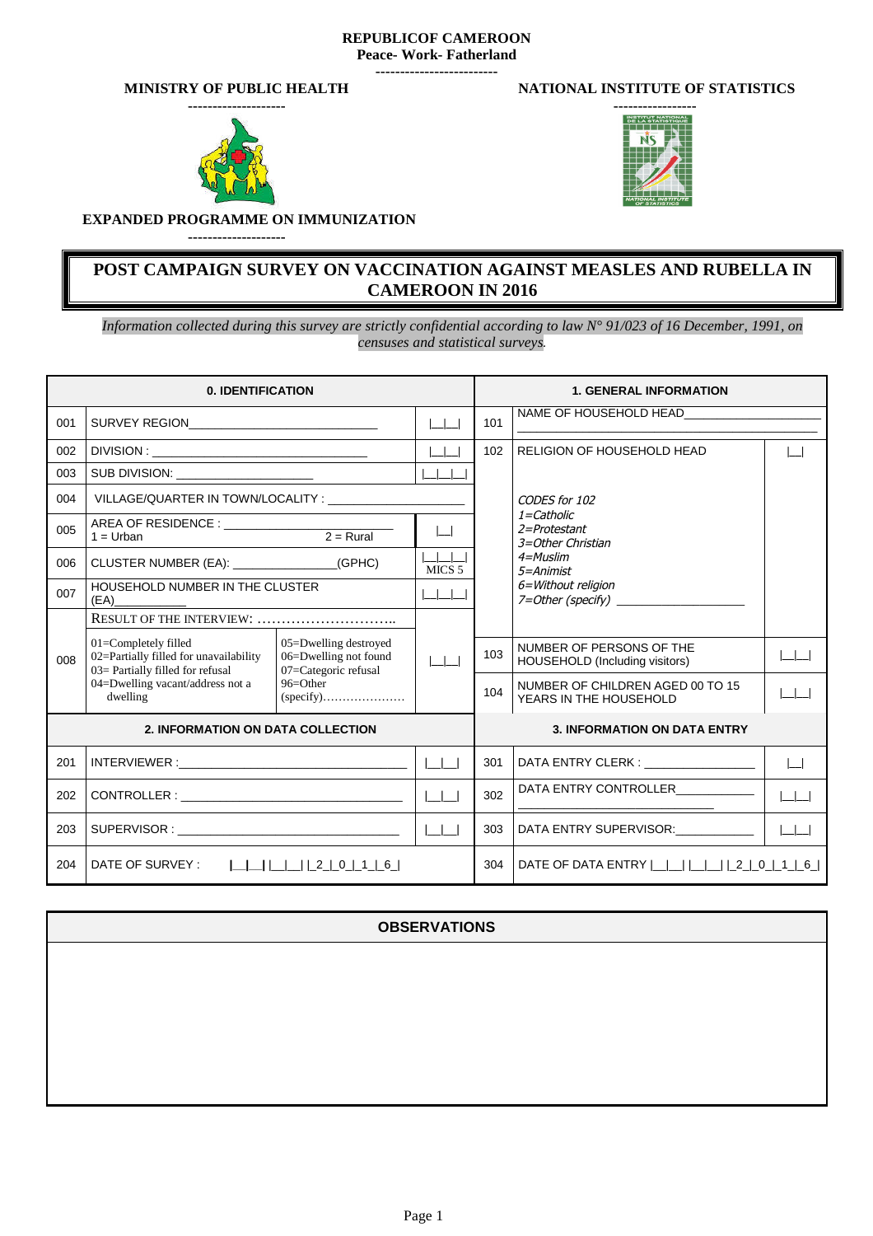**-------------------------**

### **MINISTRY OF PUBLIC HEALTH**



#### **NATIONAL INSTITUTE OF STATISTICS**



# **EXPANDED PROGRAMME ON IMMUNIZATION**

**--------------------**

## **POST CAMPAIGN SURVEY ON VACCINATION AGAINST MEASLES AND RUBELLA IN CAMEROON IN 2016**

*Information collected during this survey are strictly confidential according to law N° 91/023 of 16 December, 1991, on censuses and statistical surveys.*

|     | <b>0. IDENTIFICATION</b>                                                                                                                                                                                                      |                                                                        |                   | <b>1. GENERAL INFORMATION</b>       |                                                            |                   |  |  |  |
|-----|-------------------------------------------------------------------------------------------------------------------------------------------------------------------------------------------------------------------------------|------------------------------------------------------------------------|-------------------|-------------------------------------|------------------------------------------------------------|-------------------|--|--|--|
| 001 | SURVEY REGION AND THE SURVEY REGION                                                                                                                                                                                           |                                                                        | $\vert \vert$     | 101                                 | NAME OF HOUSEHOLD HEAD                                     |                   |  |  |  |
| 002 |                                                                                                                                                                                                                               |                                                                        |                   | 102                                 | RELIGION OF HOUSEHOLD HEAD                                 |                   |  |  |  |
| 003 |                                                                                                                                                                                                                               |                                                                        |                   |                                     |                                                            |                   |  |  |  |
| 004 | VILLAGE/QUARTER IN TOWN/LOCALITY :                                                                                                                                                                                            |                                                                        |                   |                                     | CODES for 102                                              |                   |  |  |  |
| 005 | AREA OF RESIDENCE : $2 =$ Rural                                                                                                                                                                                               |                                                                        | $\lfloor$         |                                     | $1 =$ Catholic<br>2=Protestant<br>3=Other Christian        |                   |  |  |  |
| 006 | CLUSTER NUMBER (EA): _______________(GPHC)                                                                                                                                                                                    |                                                                        | MICS <sub>5</sub> |                                     | $4 =$ Muslim<br>5=Animist                                  |                   |  |  |  |
| 007 | HOUSEHOLD NUMBER IN THE CLUSTER<br>(EA)                                                                                                                                                                                       |                                                                        |                   |                                     | 6=Without religion<br>7=Other (specify)                    |                   |  |  |  |
|     | RESULT OF THE INTERVIEW:                                                                                                                                                                                                      |                                                                        |                   |                                     |                                                            |                   |  |  |  |
| 008 | 01=Completely filled<br>02=Partially filled for unavailability<br>03= Partially filled for refusal                                                                                                                            | 05=Dwelling destroyed<br>06=Dwelling not found<br>07=Categoric refusal |                   | 103                                 | NUMBER OF PERSONS OF THE<br>HOUSEHOLD (Including visitors) |                   |  |  |  |
|     | 04=Dwelling vacant/address not a<br>dwelling                                                                                                                                                                                  | $96 = Other$                                                           |                   | 104                                 | NUMBER OF CHILDREN AGED 00 TO 15<br>YEARS IN THE HOUSEHOLD |                   |  |  |  |
|     | 2. INFORMATION ON DATA COLLECTION                                                                                                                                                                                             |                                                                        |                   | <b>3. INFORMATION ON DATA ENTRY</b> |                                                            |                   |  |  |  |
| 201 | INTERVIEWER : THE STATE OF THE STATE OF THE STATE OF THE STATE OF THE STATE OF THE STATE OF THE STATE OF THE STATE OF THE STATE OF THE STATE OF THE STATE OF THE STATE OF THE STATE OF THE STATE OF THE STATE OF THE STATE OF |                                                                        | $\perp$ $\perp$   | 301                                 | DATA ENTRY CLERK : ____________________                    | $\vert \ \ \vert$ |  |  |  |
| 202 |                                                                                                                                                                                                                               |                                                                        |                   | 302                                 | DATA ENTRY CONTROLLER___________                           |                   |  |  |  |
| 203 |                                                                                                                                                                                                                               |                                                                        | $\Box$            | 303                                 | DATA ENTRY SUPERVISOR: ___________                         |                   |  |  |  |
| 204 | DATE OF SURVEY :  _ _   _ _   _2_ _0_ _1_ _6_                                                                                                                                                                                 |                                                                        |                   | 304                                 | DATE OF DATA ENTRY                       2   0   1   6     |                   |  |  |  |

## **OBSERVATIONS**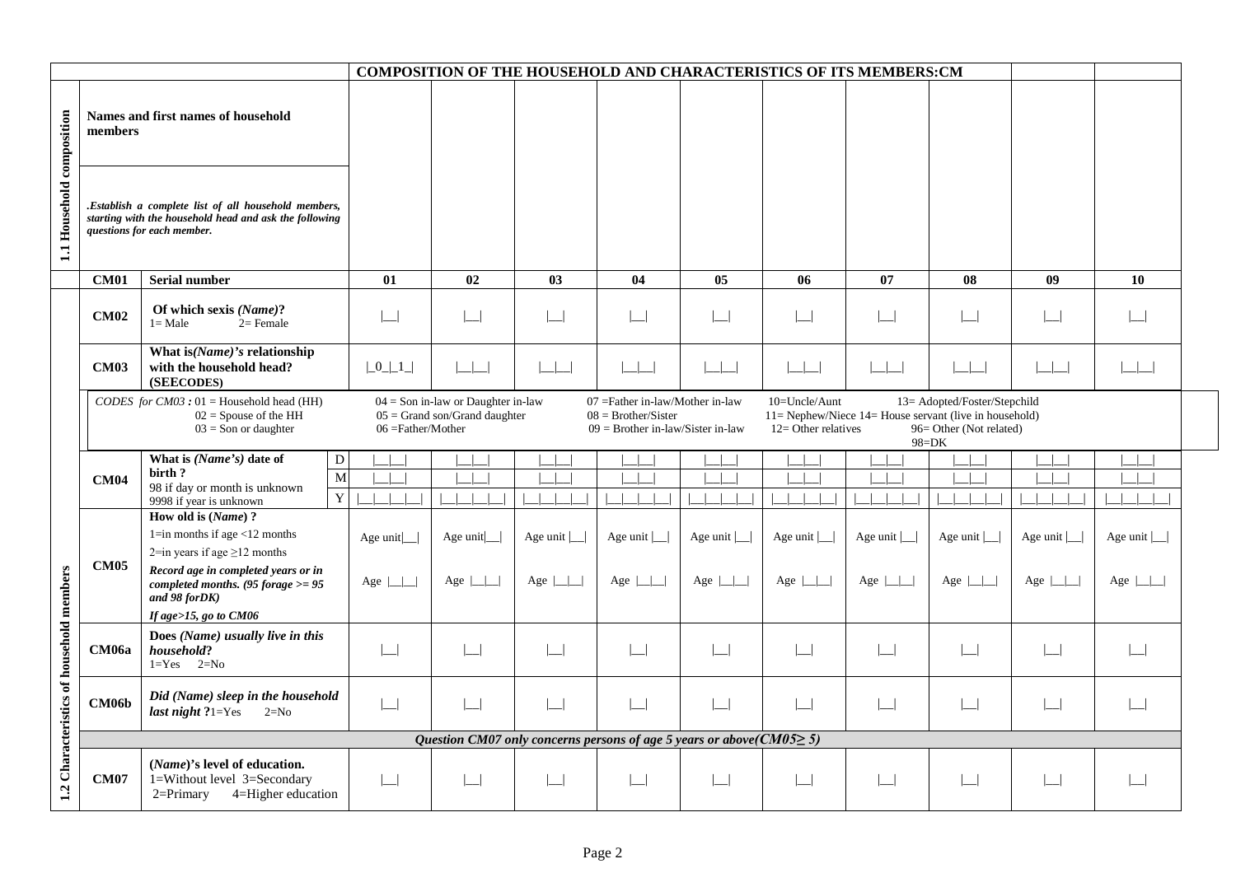| Names and first names of household<br>members                                                                                                                                                                                                                                                                                                    |                                                                                                                                                |                                          |                                                                           |  |  |  |
|--------------------------------------------------------------------------------------------------------------------------------------------------------------------------------------------------------------------------------------------------------------------------------------------------------------------------------------------------|------------------------------------------------------------------------------------------------------------------------------------------------|------------------------------------------|---------------------------------------------------------------------------|--|--|--|
|                                                                                                                                                                                                                                                                                                                                                  |                                                                                                                                                |                                          |                                                                           |  |  |  |
| 1.1 Household composition<br>.Establish a complete list of all household members,<br>starting with the household head and ask the following<br>questions for each member.                                                                                                                                                                        |                                                                                                                                                |                                          |                                                                           |  |  |  |
| 01<br>02<br>03<br>05<br><b>Serial number</b><br>04<br>06<br>07<br><b>CM01</b>                                                                                                                                                                                                                                                                    | 08                                                                                                                                             | 09                                       | 10                                                                        |  |  |  |
| Of which sexis (Name)?<br><b>CM02</b><br>$\lfloor$<br>$\Box$<br>$\Box$<br>$\Box$<br>$\boxed{\phantom{1}}$<br>$\boxed{\phantom{1}}$<br>$l = Male$<br>$2=$ Female                                                                                                                                                                                  | $\begin{array}{c} \hline \end{array}$                                                                                                          | $\boxed{\phantom{1}}$                    | $\boxed{\phantom{1}}$                                                     |  |  |  |
| What is(Name)'s relationship<br>with the household head?<br><b>CM03</b><br>$\lfloor 0 \rfloor \lfloor 1 \rfloor$<br>$\Box$<br>$\Box$<br>$\sim 10^{-1}$<br>$\Box$<br>$\Box$<br>$\mathbb{R}^n$<br>(SEECODES)                                                                                                                                       | $\vert \cdot \vert$                                                                                                                            | $\Box$                                   | $\begin{array}{c} \boxed{\phantom{0}} \\ \boxed{\phantom{0}} \end{array}$ |  |  |  |
| CODES for CM03 : $01$ = Household head (HH)<br>$04 =$ Son in-law or Daughter in-law<br>07 =Father in-law/Mother in-law<br>10=Uncle/Aunt<br>$02 =$ Spouse of the HH<br>$05 = Grand son/Grand daughter$<br>$08 = Brother/Sister$<br>$03 =$ Son or daughter<br>$06 =$ Father/Mother<br>$12=$ Other relatives<br>$09 =$ Brother in-law/Sister in-law | 13= Adopted/Foster/Stepchild<br>$11 = \text{Nephew/Niece } 14 = \text{House}$ servant (live in household)<br>96 = Other (Not related)<br>98=DK |                                          |                                                                           |  |  |  |
| What is $(Name's)$ date of<br>D                                                                                                                                                                                                                                                                                                                  |                                                                                                                                                |                                          |                                                                           |  |  |  |
| birth?<br>$\overline{M}$<br><b>CM04</b><br>98 if day or month is unknown<br>$\mathbf Y$<br>$1 - 1 - 1$<br>$\overline{\phantom{a}}$<br>$\Box$<br>$\pm$ $\pm$<br>$\Box$<br>$\blacksquare$<br>$\mathbf{1}$                                                                                                                                          |                                                                                                                                                | $\Box$                                   | $\mathbf{1}$ $\mathbf{1}$ $\mathbf{1}$                                    |  |  |  |
| 9998 if year is unknown<br>How old is (Name)?<br>1=in months if age $<$ 12 months<br>Age unit $\Box$<br>Age unit $\vert$ $\vert$<br>Age unit $\vert$<br>Age unit $\vert$<br>Age unit $\lfloor$<br>Age unit $\vert$<br>Age unit                                                                                                                   | Age unit $\vert$                                                                                                                               | Age unit $\vert$                         | Age unit $\vert$                                                          |  |  |  |
| 2=in years if age $\geq$ 12 months<br><b>CM05</b>                                                                                                                                                                                                                                                                                                |                                                                                                                                                |                                          |                                                                           |  |  |  |
| Record age in completed years or in<br>Age $ \_\ $<br>Age $\lfloor$ $\lfloor$<br>Age $\lfloor$<br>Age $\lfloor \_\_\_\_\_\_\$<br>Age $\lfloor$ $\lfloor$<br>Age $\lfloor$<br>Age $\lfloor$ $\lfloor$<br>completed months. $(95$ forage $>= 95$<br>and 98 forDK)                                                                                  | Age $ \_\_ $                                                                                                                                   | Age $\lfloor$ $\lfloor$                  | Age $\lfloor$ $\lfloor$                                                   |  |  |  |
| 1.2 Characteristics of household members<br>If age>15, go to CM06<br>Does (Name) usually live in this<br>household?<br><b>CM06a</b><br>└─<br>$\Box$<br>$\Box$<br>$\Box$<br>$\Box$<br>$\overline{\phantom{a}}$<br>$1 = Yes$ $2 = No$                                                                                                              |                                                                                                                                                | $\Box$                                   | $\Box$                                                                    |  |  |  |
| Did (Name) sleep in the household<br>CM06b<br>$\lfloor \_ \rfloor$<br>$\Box$<br>$\boxed{\phantom{1}}$<br>$\Box$<br>$\Box$<br>$\Box$<br>$\lfloor \rfloor$<br><i>last night</i> $?1 = Yes$<br>$2=N0$                                                                                                                                               | $\Box$                                                                                                                                         | $\begin{array}{c} \hline \end{array}$    | $\Box$                                                                    |  |  |  |
| Question CM07 only concerns persons of age 5 years or above $(CM05\geq 5)$                                                                                                                                                                                                                                                                       |                                                                                                                                                |                                          |                                                                           |  |  |  |
| (Name)'s level of education.<br>CM07<br>1=Without level 3=Secondary<br>$\Box$<br>$\boxed{\phantom{1}}$<br>$\boxed{\phantom{1}}$<br>$\Box$<br>$\Box$<br>$\boxed{\phantom{1}}$<br>$\lfloor \rfloor$<br>$2 =$ Primary<br>4=Higher education                                                                                                         | $\Box$                                                                                                                                         | $\begin{array}{c} \boxed{-} \end{array}$ | $\boxed{\phantom{1}}$                                                     |  |  |  |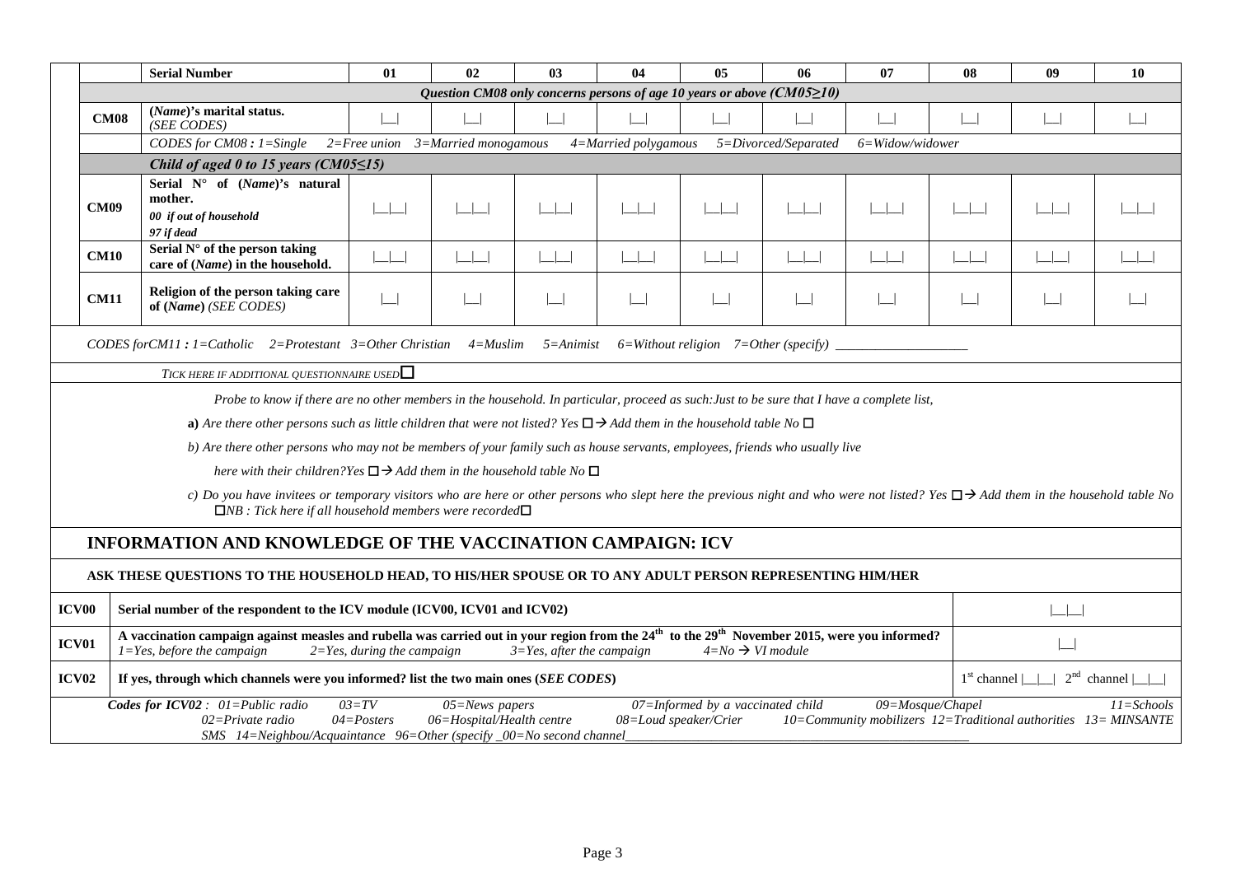|                   | <b>Serial Number</b>                                                                                                                                                                                                                                                                                                                                                                                                | 01                  | 02     | 0 <sub>3</sub> | 04 | 05           | 06 | 07                    | 08 | 09 | 10                                                          |  |  |
|-------------------|---------------------------------------------------------------------------------------------------------------------------------------------------------------------------------------------------------------------------------------------------------------------------------------------------------------------------------------------------------------------------------------------------------------------|---------------------|--------|----------------|----|--------------|----|-----------------------|----|----|-------------------------------------------------------------|--|--|
|                   | Question CM08 only concerns persons of age 10 years or above (CM05 $\geq$ 10)                                                                                                                                                                                                                                                                                                                                       |                     |        |                |    |              |    |                       |    |    |                                                             |  |  |
|                   | (Name)'s marital status.<br><b>CM08</b><br>(SEE CODES)                                                                                                                                                                                                                                                                                                                                                              |                     |        |                |    |              |    | $\boxed{\phantom{1}}$ |    |    |                                                             |  |  |
|                   | $2 = Free$ union $3 = Married$ monogamous<br>CODES for CM08 : $1 = Single$                                                                                                                                                                                                                                                                                                                                          | $6 = Widow/widower$ |        |                |    |              |    |                       |    |    |                                                             |  |  |
|                   | Child of aged 0 to 15 years (CM05 $\leq$ 15)                                                                                                                                                                                                                                                                                                                                                                        |                     |        |                |    |              |    |                       |    |    |                                                             |  |  |
| <b>CM09</b>       | Serial $N^{\circ}$ of (Name)'s natural<br>mother.<br>00 if out of household<br>97 if dead                                                                                                                                                                                                                                                                                                                           | $\vert \vert$       | $\Box$ |                |    | $\Box$       |    |                       |    |    |                                                             |  |  |
| <b>CM10</b>       | Serial $N^{\circ}$ of the person taking<br>care of (Name) in the household.                                                                                                                                                                                                                                                                                                                                         |                     |        |                |    | $\mathbb{R}$ |    |                       |    |    |                                                             |  |  |
| <b>CM11</b>       | Religion of the person taking care<br>of (Name) (SEE CODES)                                                                                                                                                                                                                                                                                                                                                         |                     |        | $\Box$         |    |              |    | $\Box$                |    |    |                                                             |  |  |
|                   | CODES for CM11 : $1 =$ Catholic $2 =$ Protestant $3 =$ Other Christian<br>$4 =$ Muslim<br>$6 = Without$ religion $7 = Other$ (specify).<br>$5 =$ Animist                                                                                                                                                                                                                                                            |                     |        |                |    |              |    |                       |    |    |                                                             |  |  |
|                   | TICK HERE IF ADDITIONAL QUESTIONNAIRE USED                                                                                                                                                                                                                                                                                                                                                                          |                     |        |                |    |              |    |                       |    |    |                                                             |  |  |
|                   | Probe to know if there are no other members in the household. In particular, proceed as such: Just to be sure that I have a complete list,                                                                                                                                                                                                                                                                          |                     |        |                |    |              |    |                       |    |    |                                                             |  |  |
|                   | a) Are there other persons such as little children that were not listed? Yes $\Box \rightarrow$ Add them in the household table No $\Box$                                                                                                                                                                                                                                                                           |                     |        |                |    |              |    |                       |    |    |                                                             |  |  |
|                   | b) Are there other persons who may not be members of your family such as house servants, employees, friends who usually live                                                                                                                                                                                                                                                                                        |                     |        |                |    |              |    |                       |    |    |                                                             |  |  |
|                   | here with their children? Yes $\Box \rightarrow$ Add them in the household table No $\Box$                                                                                                                                                                                                                                                                                                                          |                     |        |                |    |              |    |                       |    |    |                                                             |  |  |
|                   | c) Do you have invitees or temporary visitors who are here or other persons who slept here the previous night and who were not listed? Yes $\Box$ > Add them in the household table No<br>$\Box NB$ : Tick here if all household members were recorded $\Box$                                                                                                                                                       |                     |        |                |    |              |    |                       |    |    |                                                             |  |  |
|                   | <b>INFORMATION AND KNOWLEDGE OF THE VACCINATION CAMPAIGN: ICV</b>                                                                                                                                                                                                                                                                                                                                                   |                     |        |                |    |              |    |                       |    |    |                                                             |  |  |
|                   | ASK THESE QUESTIONS TO THE HOUSEHOLD HEAD, TO HIS/HER SPOUSE OR TO ANY ADULT PERSON REPRESENTING HIM/HER                                                                                                                                                                                                                                                                                                            |                     |        |                |    |              |    |                       |    |    |                                                             |  |  |
| ICV <sub>00</sub> | Serial number of the respondent to the ICV module (ICV00, ICV01 and ICV02)                                                                                                                                                                                                                                                                                                                                          |                     |        |                |    |              |    |                       |    |    |                                                             |  |  |
| ICV01             | A vaccination campaign against measles and rubella was carried out in your region from the 24 <sup>th</sup> to the 29 <sup>th</sup> November 2015, were you informed?<br>$4=No \rightarrow VI$ module<br>$1 = Yes$ , before the campaign<br>$2 = Yes$ , during the campaign<br>$3 = Yes$ , after the campaign                                                                                                       |                     |        |                |    |              |    |                       |    |    |                                                             |  |  |
| <b>ICV02</b>      | If yes, through which channels were you informed? list the two main ones (SEE CODES)                                                                                                                                                                                                                                                                                                                                |                     |        |                |    |              |    |                       |    |    | $2^{nd}$ channel    <br>$1st$ channel $\boxed{\phantom{1}}$ |  |  |
|                   | Codes for $ICV02$ : $01 = Public$ radio<br>$0.3 = TV$<br>$07$ =Informed by a vaccinated child<br>$09 = Mosque/Chapel$<br>$05$ =News papers<br>$11 =$ Schools<br>$04 = Posters$<br>06=Hospital/Health centre<br>$10=$ Community mobilizers $12=$ Traditional authorities $13=$ MINSANTE<br>$02 = Private radio$<br>08=Loud speaker/Crier<br>SMS $14$ =Neighbou/Acquaintance 96=Other (specify $0$ =No second channel |                     |        |                |    |              |    |                       |    |    |                                                             |  |  |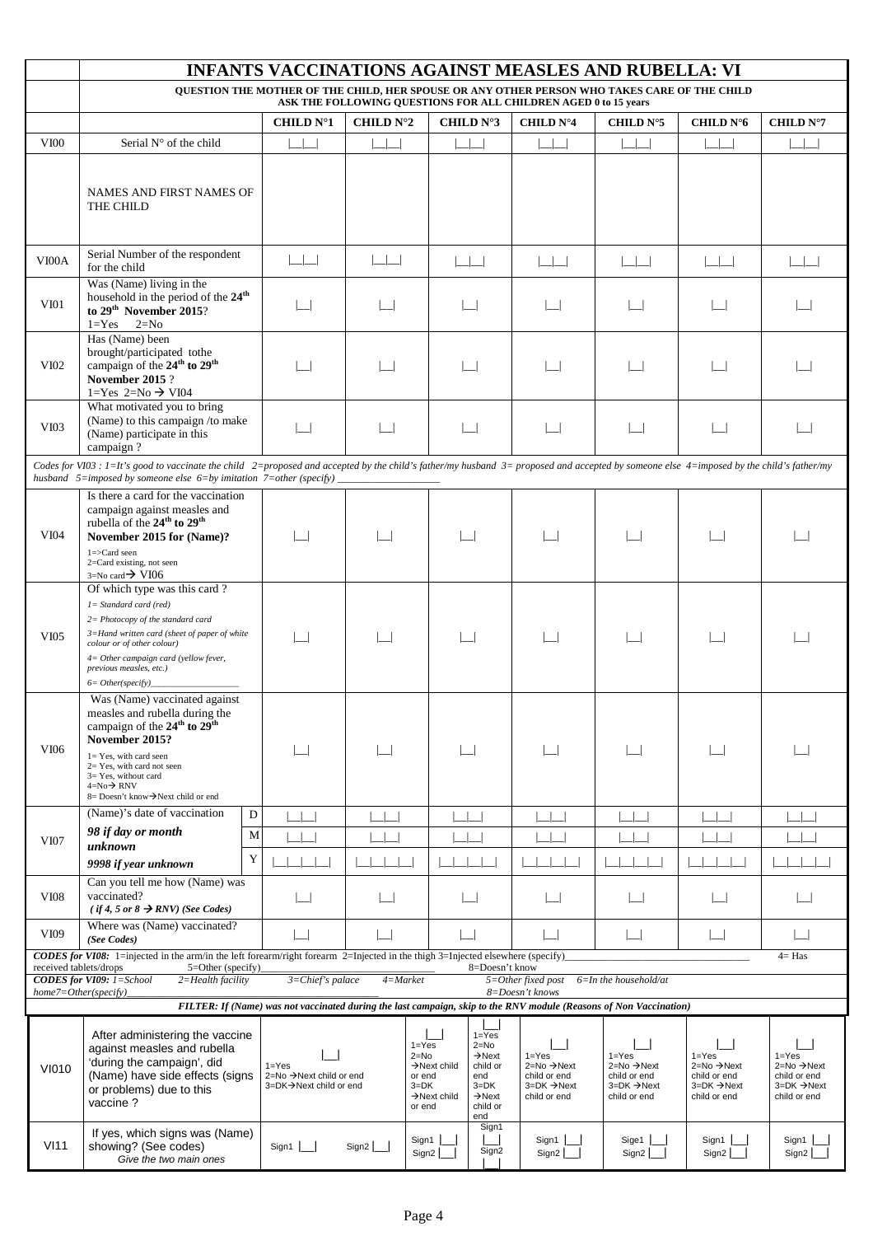|                                                                                                                                                                                                                         | <b>INFANTS VACCINATIONS AGAINST MEASLES AND RUBELLA: VI</b>                                                                                                                                                                                                                                       |                               |                                  |                                                                                                         |                                                                                                                   |                                                                                      |                                                                                                     |                                                                                                     |                                                                       |  |  |  |
|-------------------------------------------------------------------------------------------------------------------------------------------------------------------------------------------------------------------------|---------------------------------------------------------------------------------------------------------------------------------------------------------------------------------------------------------------------------------------------------------------------------------------------------|-------------------------------|----------------------------------|---------------------------------------------------------------------------------------------------------|-------------------------------------------------------------------------------------------------------------------|--------------------------------------------------------------------------------------|-----------------------------------------------------------------------------------------------------|-----------------------------------------------------------------------------------------------------|-----------------------------------------------------------------------|--|--|--|
|                                                                                                                                                                                                                         | QUESTION THE MOTHER OF THE CHILD, HER SPOUSE OR ANY OTHER PERSON WHO TAKES CARE OF THE CHILD<br>ASK THE FOLLOWING QUESTIONS FOR ALL CHILDREN AGED 0 to 15 years                                                                                                                                   |                               |                                  |                                                                                                         |                                                                                                                   |                                                                                      |                                                                                                     |                                                                                                     |                                                                       |  |  |  |
|                                                                                                                                                                                                                         |                                                                                                                                                                                                                                                                                                   | <b>CHILD N°1</b>              | <b>CHILD N°2</b>                 |                                                                                                         | CHILD N°3                                                                                                         | CHILD N°4                                                                            | CHILD N°5                                                                                           | CHILD N°6                                                                                           | CHILD N°7                                                             |  |  |  |
| <b>VI00</b>                                                                                                                                                                                                             | Serial N° of the child                                                                                                                                                                                                                                                                            | $\vert \vert$ $\vert$ $\vert$ | $\begin{array}{ccc} \end{array}$ |                                                                                                         | $\Box$                                                                                                            | $\vert \ \ \vert$                                                                    |                                                                                                     | $\Box$                                                                                              | $\vert \ \ \vert$                                                     |  |  |  |
|                                                                                                                                                                                                                         |                                                                                                                                                                                                                                                                                                   |                               |                                  |                                                                                                         |                                                                                                                   |                                                                                      |                                                                                                     |                                                                                                     |                                                                       |  |  |  |
|                                                                                                                                                                                                                         | NAMES AND FIRST NAMES OF<br>THE CHILD                                                                                                                                                                                                                                                             |                               |                                  |                                                                                                         |                                                                                                                   |                                                                                      |                                                                                                     |                                                                                                     |                                                                       |  |  |  |
|                                                                                                                                                                                                                         |                                                                                                                                                                                                                                                                                                   |                               |                                  |                                                                                                         |                                                                                                                   |                                                                                      |                                                                                                     |                                                                                                     |                                                                       |  |  |  |
| VI00A                                                                                                                                                                                                                   | Serial Number of the respondent<br>for the child                                                                                                                                                                                                                                                  | $\Box$                        | $\Box$                           |                                                                                                         | $\Box$                                                                                                            | $\Box$                                                                               | $\Box$                                                                                              | $\Box$                                                                                              |                                                                       |  |  |  |
| VIO1                                                                                                                                                                                                                    | Was (Name) living in the<br>household in the period of the 24 <sup>th</sup><br>to 29 <sup>th</sup> November 2015?<br>$1 = Yes$ $2 = No$                                                                                                                                                           |                               |                                  |                                                                                                         |                                                                                                                   |                                                                                      |                                                                                                     |                                                                                                     |                                                                       |  |  |  |
| VI02                                                                                                                                                                                                                    | Has (Name) been<br>brought/participated tothe<br>campaign of the 24 <sup>th</sup> to 29 <sup>th</sup><br>November 2015?<br>1=Yes 2=No $\rightarrow$ VI04                                                                                                                                          |                               |                                  |                                                                                                         |                                                                                                                   |                                                                                      |                                                                                                     |                                                                                                     |                                                                       |  |  |  |
| VI03                                                                                                                                                                                                                    | What motivated you to bring<br>(Name) to this campaign /to make<br>(Name) participate in this<br>campaign?                                                                                                                                                                                        |                               |                                  |                                                                                                         |                                                                                                                   |                                                                                      |                                                                                                     |                                                                                                     |                                                                       |  |  |  |
|                                                                                                                                                                                                                         | Codes for VI03 : 1=It's good to vaccinate the child 2=proposed and accepted by the child's father/my husband 3= proposed and accepted by someone else 4=imposed by the child's father/my<br>husband $5=$ imposed by someone else $6=$ by imitation $7=$ other (specify)                           |                               |                                  |                                                                                                         |                                                                                                                   |                                                                                      |                                                                                                     |                                                                                                     |                                                                       |  |  |  |
|                                                                                                                                                                                                                         | Is there a card for the vaccination                                                                                                                                                                                                                                                               |                               |                                  |                                                                                                         |                                                                                                                   |                                                                                      |                                                                                                     |                                                                                                     |                                                                       |  |  |  |
| VI04                                                                                                                                                                                                                    | campaign against measles and<br>rubella of the 24 <sup>th</sup> to 29 <sup>th</sup><br>November 2015 for (Name)?<br>$1 = >$ Card seen<br>2=Card existing, not seen                                                                                                                                |                               |                                  |                                                                                                         |                                                                                                                   |                                                                                      |                                                                                                     |                                                                                                     |                                                                       |  |  |  |
|                                                                                                                                                                                                                         | 3=No card $\rightarrow$ VI06<br>Of which type was this card?                                                                                                                                                                                                                                      |                               |                                  |                                                                                                         |                                                                                                                   |                                                                                      |                                                                                                     |                                                                                                     |                                                                       |  |  |  |
| <b>VI05</b>                                                                                                                                                                                                             | $I = Standard card (red)$<br>2= Photocopy of the standard card<br>3=Hand written card (sheet of paper of white<br>colour or of other colour)<br>4= Other campaign card (yellow fever,<br>previous measles, etc.)<br>$6 = Other(specify)$                                                          | $\mathbf{I}$                  |                                  |                                                                                                         |                                                                                                                   |                                                                                      |                                                                                                     |                                                                                                     |                                                                       |  |  |  |
| VI06                                                                                                                                                                                                                    | Was (Name) vaccinated against<br>measles and rubella during the<br>campaign of the 24 <sup>th</sup> to 29 <sup>th</sup><br>November 2015?<br>$1 = Yes$ , with card seen<br>2= Yes, with card not seen<br>$3 = Yes$ , without card<br>$4=N_0 \rightarrow RNV$<br>8= Doesn't know→Next child or end |                               |                                  |                                                                                                         |                                                                                                                   |                                                                                      |                                                                                                     |                                                                                                     |                                                                       |  |  |  |
|                                                                                                                                                                                                                         | (Name)'s date of vaccination                                                                                                                                                                                                                                                                      | $\mathbf D$                   |                                  |                                                                                                         |                                                                                                                   | $\vert \ \ \vert$                                                                    | $\perp$                                                                                             | $\perp$                                                                                             |                                                                       |  |  |  |
| VI07                                                                                                                                                                                                                    | 98 if day or month                                                                                                                                                                                                                                                                                | M                             |                                  |                                                                                                         |                                                                                                                   |                                                                                      |                                                                                                     |                                                                                                     |                                                                       |  |  |  |
|                                                                                                                                                                                                                         | unknown<br>9998 if year unknown                                                                                                                                                                                                                                                                   | $\mathbf Y$                   |                                  |                                                                                                         |                                                                                                                   |                                                                                      |                                                                                                     |                                                                                                     |                                                                       |  |  |  |
| <b>VI08</b>                                                                                                                                                                                                             | Can you tell me how (Name) was<br>vaccinated?<br>$(if 4, 5 or 8 \rightarrow RNV)$ (See Codes)                                                                                                                                                                                                     |                               |                                  |                                                                                                         |                                                                                                                   |                                                                                      |                                                                                                     |                                                                                                     |                                                                       |  |  |  |
| VI09                                                                                                                                                                                                                    | Where was (Name) vaccinated?<br>(See Codes)                                                                                                                                                                                                                                                       | $\blacksquare$                | ப                                |                                                                                                         | $\vert$ $\vert$                                                                                                   | $\vert$ $\vert$                                                                      | $\Box$                                                                                              | $\mathbf{I}$                                                                                        |                                                                       |  |  |  |
|                                                                                                                                                                                                                         | <b>CODES for VI08:</b> 1=injected in the arm/in the left forearm/right forearm 2=Injected in the thigh 3=Injected elsewhere (specify)                                                                                                                                                             |                               |                                  |                                                                                                         |                                                                                                                   |                                                                                      |                                                                                                     |                                                                                                     | $4 = Has$                                                             |  |  |  |
| 5=Other (specify)<br>received tablets/drops<br>8=Doesn't know<br><b>CODES for V109:</b> 1=School<br>$3$ =Chief's palace<br>$4 = Market$<br>$5 = Other$ fixed post<br>$2 = Health facility$<br>$6 = In$ the household/at |                                                                                                                                                                                                                                                                                                   |                               |                                  |                                                                                                         |                                                                                                                   |                                                                                      |                                                                                                     |                                                                                                     |                                                                       |  |  |  |
| home7=Other(specify)<br>8=Doesn't knows<br>FILTER: If (Name) was not vaccinated during the last campaign, skip to the RNV module (Reasons of Non Vaccination)                                                           |                                                                                                                                                                                                                                                                                                   |                               |                                  |                                                                                                         |                                                                                                                   |                                                                                      |                                                                                                     |                                                                                                     |                                                                       |  |  |  |
| <b>VI010</b>                                                                                                                                                                                                            | After administering the vaccine<br>against measles and rubella<br>'during the campaign', did<br>$1 = Yes$<br>(Name) have side effects (signs<br>2=No → Next child or end<br>3=DK→Next child or end<br>or problems) due to this<br>vaccine?                                                        |                               |                                  | $1 = Yes$<br>2=No<br>$\rightarrow$ Next child<br>or end<br>$3=DK$<br>$\rightarrow$ Next child<br>or end | $1 = Yes$<br>$2 = No$<br>$\rightarrow$ Next<br>child or<br>end<br>$3=DK$<br>$\rightarrow$ Next<br>child or<br>end | $1 = Yes$<br>2=No →Next<br>child or end<br>$3 = DK \rightarrow Next$<br>child or end | $1 = Yes$<br>$2 = No \rightarrow Next$<br>child or end<br>$3 = DK \rightarrow Next$<br>child or end | $1 = Yes$<br>$2 = No \rightarrow Next$<br>child or end<br>$3 = DK \rightarrow Next$<br>child or end | $1 = Yes$<br>2=No →Next<br>child or end<br>3=DK →Next<br>child or end |  |  |  |
| <b>VI11</b>                                                                                                                                                                                                             | If yes, which signs was (Name)<br>showing? (See codes)<br>Give the two main ones                                                                                                                                                                                                                  | Sign1                         | Sign2                            | Sign1<br>Sign2                                                                                          | Sign1<br>Sign2                                                                                                    | Sign1<br>Sign2                                                                       | Sige1  <br>Sign2                                                                                    | Sign1<br>Sign2                                                                                      | Sign1<br>Sign2                                                        |  |  |  |